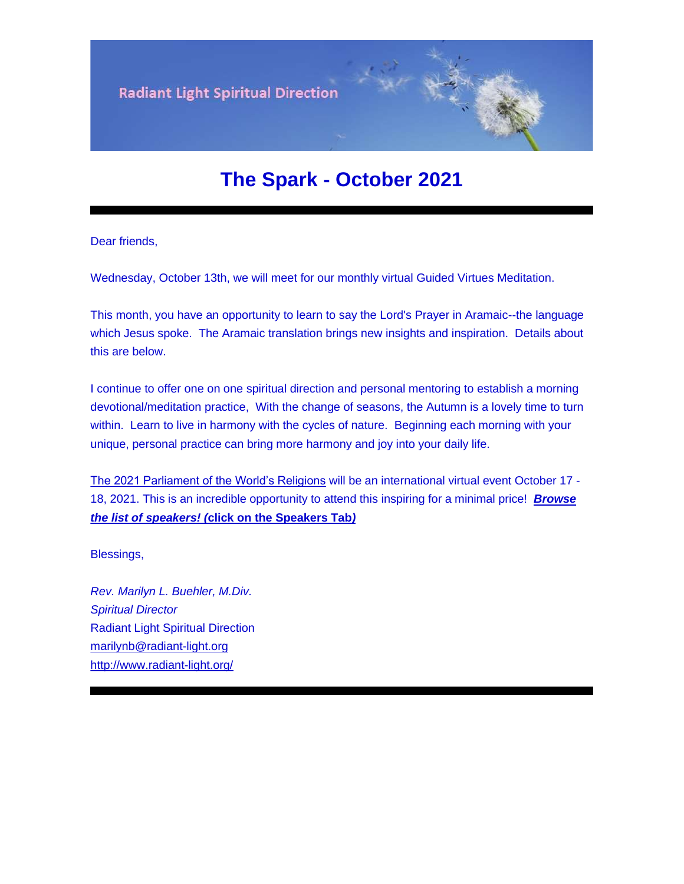

# **The Spark - October 2021**

Dear friends,

Wednesday, October 13th, we will meet for our monthly virtual Guided Virtues Meditation.

This month, you have an opportunity to learn to say the Lord's Prayer in Aramaic--the language which Jesus spoke. The Aramaic translation brings new insights and inspiration. Details about this are below.

I continue to offer one on one spiritual direction and personal mentoring to establish a morning devotional/meditation practice, With the change of seasons, the Autumn is a lovely time to turn within. Learn to live in harmony with the cycles of nature. Beginning each morning with your unique, personal practice can bring more harmony and joy into your daily life.

[The 2021 Parliament of the World's Religions](https://u18544456.ct.sendgrid.net/ls/click?upn=R-2Bl7NGDLiuME3v4KUDXT9r1vZG37bpWQIiPa-2BlmvRx93cc-2FVPxVeBTfRCv9z6gnetyUB631HrR8Z3DdiY-2BlZ9f-2FiWn4w-2Fw5NaOboLJxJC6E-3DYzf8_FiQrYGg1YZElR924caalGEP3AHGeF79ulf5jxC9Fbcd8IfoR4p2-2FW0xZvJaX6Y3z75H0Yw3uGmHJTH3azVPJ5HXoQqlNvxrtacG06ak4RKHz6L4USfglwN8UvyJoFCefZzGtrd4sjuMJ3WjiB5knS1Y5BlQGrByRyH1VDHrUzHpI2uaxPGLur7ZpcGifY4gwjtMACzbuVnp17jfZWHhk7R5lpMK9Lbs1zCFWFWDOjMMvgBJgvLw-2F-2BjJH51ss96iRlNCXhJ11y8XErSeZVX-2FoDw-3D-3D) will be an international virtual event October 17 - 18, 2021. This is an incredible opportunity to attend this inspiring for a minimal price! *[Browse](https://u18544456.ct.sendgrid.net/ls/click?upn=R-2Bl7NGDLiuME3v4KUDXT9r1vZG37bpWQIiPa-2BlmvRx93cc-2FVPxVeBTfRCv9z6gnetyUB631HrR8Z3DdiY-2BlZ9f-2FiWn4w-2Fw5NaOboLJxJC6E-3DlXMa_FiQrYGg1YZElR924caalGEP3AHGeF79ulf5jxC9Fbcd8IfoR4p2-2FW0xZvJaX6Y3z75H0Yw3uGmHJTH3azVPJ5HXoQqlNvxrtacG06ak4RKHz6L4USfglwN8UvyJoFCeflN36y0eiF66CoD7Dx6pZzf6TE5EKC67o4MWRY4LeFsYEdA2EPj8M3Xblg8lJb5mPJe7GcMGavMqSQwBUmN0zcfvffdAFMgItwHiTP4U5dUTDDKmMH2f6A-2BNgTG7e6gti45bJWiNOC1k0lwcrVTAZzw-3D-3D)  [the list of speakers!](https://u18544456.ct.sendgrid.net/ls/click?upn=R-2Bl7NGDLiuME3v4KUDXT9r1vZG37bpWQIiPa-2BlmvRx93cc-2FVPxVeBTfRCv9z6gnetyUB631HrR8Z3DdiY-2BlZ9f-2FiWn4w-2Fw5NaOboLJxJC6E-3DlXMa_FiQrYGg1YZElR924caalGEP3AHGeF79ulf5jxC9Fbcd8IfoR4p2-2FW0xZvJaX6Y3z75H0Yw3uGmHJTH3azVPJ5HXoQqlNvxrtacG06ak4RKHz6L4USfglwN8UvyJoFCeflN36y0eiF66CoD7Dx6pZzf6TE5EKC67o4MWRY4LeFsYEdA2EPj8M3Xblg8lJb5mPJe7GcMGavMqSQwBUmN0zcfvffdAFMgItwHiTP4U5dUTDDKmMH2f6A-2BNgTG7e6gti45bJWiNOC1k0lwcrVTAZzw-3D-3D) (***click on the Speakers Tab***)*

Blessings,

*Rev. Marilyn L. Buehler, M.Div. Spiritual Director* Radiant Light Spiritual Direction [marilynb@radiant-light.org](mailto:marilynb@radiant-light.org) [http://www.radiant-light.org/](https://u18544456.ct.sendgrid.net/ls/click?upn=R-2Bl7NGDLiuME3v4KUDXT9h2qnOPi-2Bv0NUDPOAvqgwbSGaV-2BAb3Xm4aVOKtH6HhU9m-2FTXOQwSXWi82XNXQXmW0Ybjzw6tS-2BT4DLdUHTzXugFWK15x1FY1bK6oAs60zDHaAsYk_FiQrYGg1YZElR924caalGEP3AHGeF79ulf5jxC9Fbcd8IfoR4p2-2FW0xZvJaX6Y3z75H0Yw3uGmHJTH3azVPJ5HXoQqlNvxrtacG06ak4RKHz6L4USfglwN8UvyJoFCefT-2FurjF5Y5ZSwz1qcioOjD7OODrctf6q5jppnj0iAj3HcKF1QK7NQB2GBm2l9Xg459LEjLTU7lYiCKHqFHpqiZxCk4Kd6uiLEXnxwbkNgrlHEqKoBT1KLaOYwgEyyB6MjjS0PlNc5gNEHaK5QkL7ZuQ-3D-3D)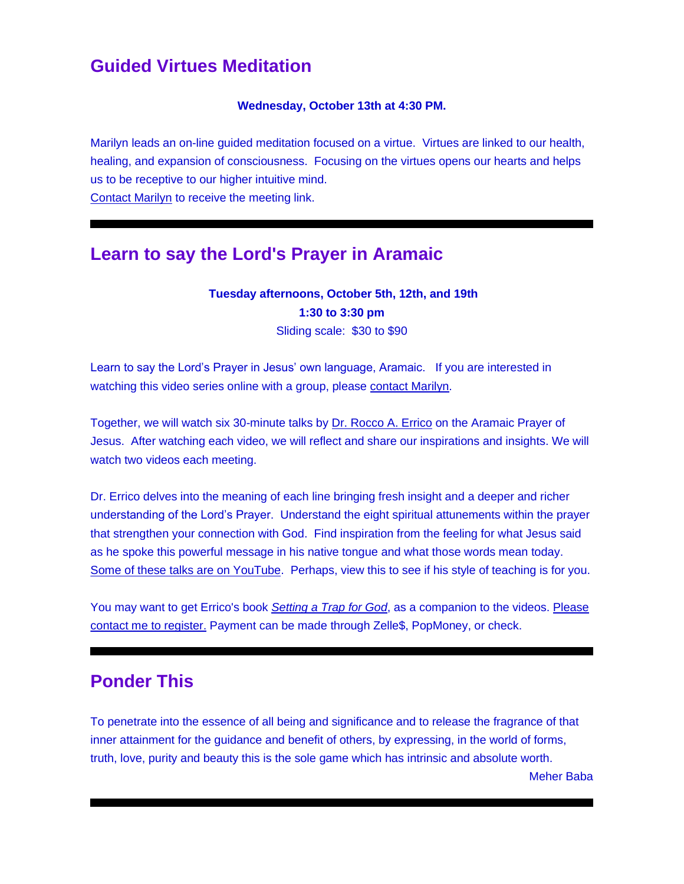## **Guided Virtues Meditation**

#### **Wednesday, October 13th at 4:30 PM.**

Marilyn leads an on-line guided meditation focused on a virtue. Virtues are linked to our health, healing, and expansion of consciousness. Focusing on the virtues opens our hearts and helps us to be receptive to our higher intuitive mind. [Contact Marilyn](mailto:marilynb@radiant-light.org?subject=&body=) to receive the meeting link.

### **Learn to say the Lord's Prayer in Aramaic**

**Tuesday afternoons, October 5th, 12th, and 19th 1:30 to 3:30 pm** Sliding scale: \$30 to \$90

Learn to say the Lord's Prayer in Jesus' own language, Aramaic. If you are interested in watching this video series online with a group, please [contact Marilyn.](mailto:marilynb@radiant-light.org?subject=Aramaic%20Prayer%20of%20Jesus&body=)

Together, we will watch six 30-minute talks by [Dr. Rocco A. Errico](https://u18544456.ct.sendgrid.net/ls/click?upn=R-2Bl7NGDLiuME3v4KUDXT9lYxLlk-2BU-2BTsXL5vdOwuhU4-3D5cnO_FiQrYGg1YZElR924caalGEP3AHGeF79ulf5jxC9Fbcd8IfoR4p2-2FW0xZvJaX6Y3z75H0Yw3uGmHJTH3azVPJ5HXoQqlNvxrtacG06ak4RKHz6L4USfglwN8UvyJoFCefGVywmw-2B2DHXHt61dwKmFPGy6oLElbVYt-2F-2FENE3-2BS8OP4AgP5iZepGktV0JoMJPlE4yo6FhwN7on3-2Fwu0k6ozhkLtpkpdEGyfBKphJBjXLXZhnjAk8xN9hJ4h1ECg8tDvVkg4VdIt7b8jHatUzBYJdA-3D-3D) on the Aramaic Prayer of Jesus. After watching each video, we will reflect and share our inspirations and insights. We will watch two videos each meeting.

Dr. Errico delves into the meaning of each line bringing fresh insight and a deeper and richer understanding of the Lord's Prayer. Understand the eight spiritual attunements within the prayer that strengthen your connection with God. Find inspiration from the feeling for what Jesus said as he spoke this powerful message in his native tongue and what those words mean today. [Some of these talks are on YouTube.](https://u18544456.ct.sendgrid.net/ls/click?upn=R-2Bl7NGDLiuME3v4KUDXT9uxmXxY-2Blrw7jgUU8aYjELS-2B1ah7dmBzY58t7ALNrMvUoQ4MPSehlFGW3rIksyZHMw-3D-3DrN75_FiQrYGg1YZElR924caalGEP3AHGeF79ulf5jxC9Fbcd8IfoR4p2-2FW0xZvJaX6Y3z75H0Yw3uGmHJTH3azVPJ5HXoQqlNvxrtacG06ak4RKHz6L4USfglwN8UvyJoFCefxRPOexE2b6KARyDd1RtgmS81zTi-2BIUKfOeVTuV1i30Gq4TqmL-2BJBg7kU5CugefL51r1AY-2FbiNZvTpp6ZCCwQ2-2BxTzB7IHrsZa-2BcovAOcsa6Aj7zl0uEmR3Q-2BhIjFbYc-2BEv5aCzb0pA3DwbrvgNMosQ-3D-3D) Perhaps, view this to see if his style of teaching is for you.

You may want to get Errico's book *[Setting a Trap for God](https://u18544456.ct.sendgrid.net/ls/click?upn=R-2Bl7NGDLiuME3v4KUDXT9okDMyUAi6-2B1xNTUhy1VI1UDaVT4ENjj9gxmngaEZ4m8uMYYMf5kYpq5Pg0mq4KYEIx2Tjw1e7ehIDxoGyIA1YrNLeeha6TSWtd-2F34xsa5qRMHCq_FiQrYGg1YZElR924caalGEP3AHGeF79ulf5jxC9Fbcd8IfoR4p2-2FW0xZvJaX6Y3z75H0Yw3uGmHJTH3azVPJ5HXoQqlNvxrtacG06ak4RKHz6L4USfglwN8UvyJoFCef3A5O3kIi-2Bm4o9VjKamXlc-2B3JmJTnIQC99A-2F3H27ZYnRliTOQ9uLJNhs1Bu50mcGcIhImxiJLmBnOaB82bjIntP8VYzk9H0ZRKCmhuafNZKAV50ZUTU-2FCijComNSeZsTsn9FVFpBKLjjeyweMf218bA-3D-3D)*, as a companion to the videos. Please contact me to register. Payment can be made through Zelle\$, PopMoney, or check.

## **Ponder This**

To penetrate into the essence of all being and significance and to release the fragrance of that inner attainment for the guidance and benefit of others, by expressing, in the world of forms, truth, love, purity and beauty this is the sole game which has intrinsic and absolute worth.

Meher Baba